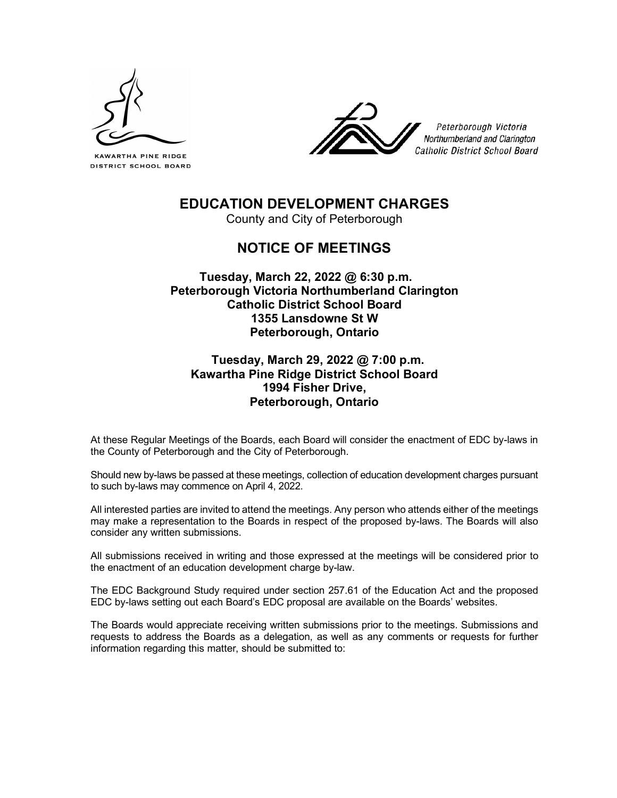

KAWARTHA PINE RIDGE **DISTRICT SCHOOL BOARD** 



Peterborough Victoria Northumberland and Clarington Catholic District School Board

# **EDUCATION DEVELOPMENT CHARGES**

County and City of Peterborough

# **NOTICE OF MEETINGS**

## **Tuesday, March 22, 2022 @ 6:30 p.m. Peterborough Victoria Northumberland Clarington Catholic District School Board 1355 Lansdowne St W Peterborough, Ontario**

# **Tuesday, March 29, 2022 @ 7:00 p.m. Kawartha Pine Ridge District School Board 1994 Fisher Drive, Peterborough, Ontario**

At these Regular Meetings of the Boards, each Board will consider the enactment of EDC by-laws in the County of Peterborough and the City of Peterborough.

Should new by-laws be passed at these meetings, collection of education development charges pursuant to such by-laws may commence on April 4, 2022.

All interested parties are invited to attend the meetings. Any person who attends either of the meetings may make a representation to the Boards in respect of the proposed by-laws. The Boards will also consider any written submissions.

All submissions received in writing and those expressed at the meetings will be considered prior to the enactment of an education development charge by-law.

The EDC Background Study required under section 257.61 of the Education Act and the proposed EDC by-laws setting out each Board's EDC proposal are available on the Boards' websites.

The Boards would appreciate receiving written submissions prior to the meetings. Submissions and requests to address the Boards as a delegation, as well as any comments or requests for further information regarding this matter, should be submitted to: